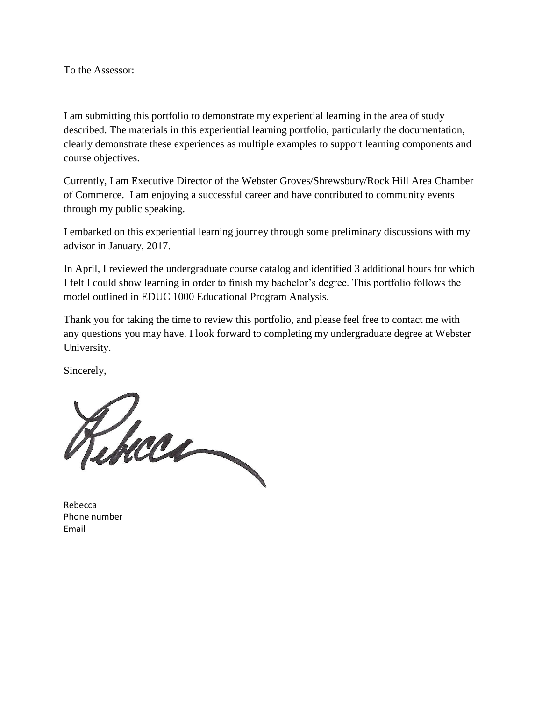<span id="page-0-0"></span>To the Assessor:

I am submitting this portfolio to demonstrate my experiential learning in the area of study described. The materials in this experiential learning portfolio, particularly the documentation, clearly demonstrate these experiences as multiple examples to support learning components and course objectives.

Currently, I am Executive Director of the Webster Groves/Shrewsbury/Rock Hill Area Chamber of Commerce. I am enjoying a successful career and have contributed to community events through my public speaking.

I embarked on this experiential learning journey through some preliminary discussions with my advisor in January, 2017.

In April, I reviewed the undergraduate course catalog and identified 3 additional hours for which I felt I could show learning in order to finish my bachelor's degree. This portfolio follows the model outlined in EDUC 1000 Educational Program Analysis.

Thank you for taking the time to review this portfolio, and please feel free to contact me with any questions you may have. I look forward to completing my undergraduate degree at Webster University.

Sincerely,

Rhae

Rebecca Phone number Email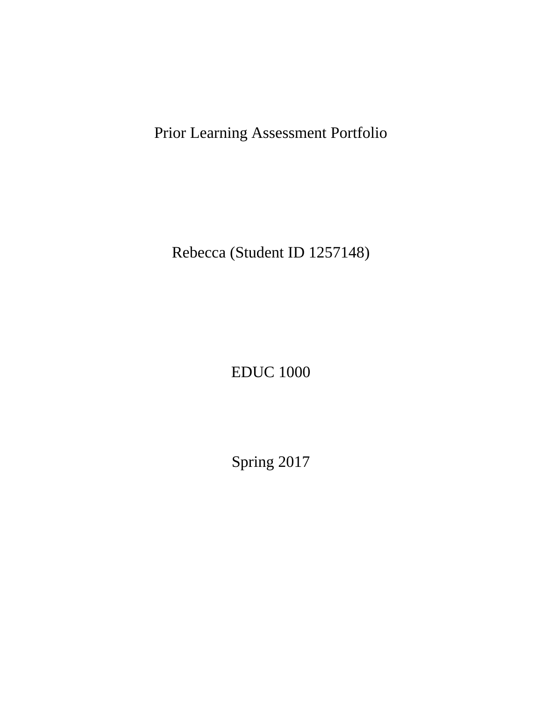Prior Learning Assessment Portfolio

Rebecca (Student ID 1257148)

EDUC 1000

Spring 2017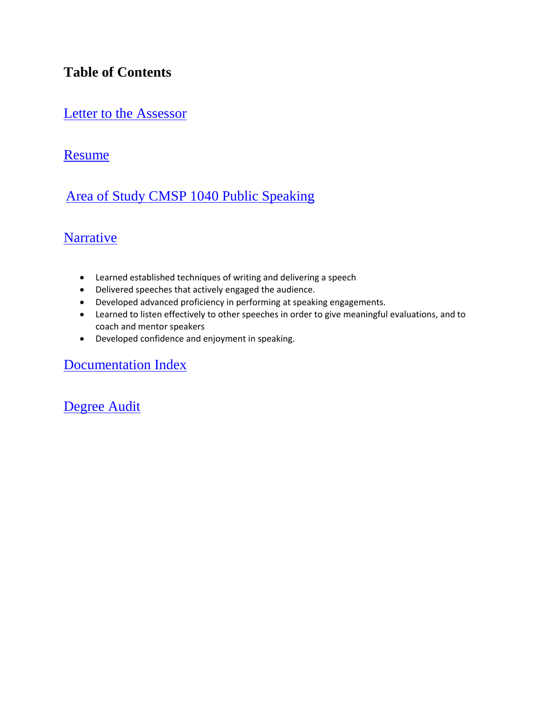## **Table of Contents**

## [Letter to the Assessor](#page-0-0)

## [Resume](#page-3-0)

## Area [of Study CMSP 1040 Public Speaking](#page-6-0)

## [Narrative](#page-8-0)

- Learned established techniques of writing and delivering a speech
- Delivered speeches that actively engaged the audience.
- Developed advanced proficiency in performing at speaking engagements.
- Learned to listen effectively to other speeches in order to give meaningful evaluations, and to coach and mentor speakers
- [Developed confidence and enjoyment in speaking.](#page-12-0)

### [Documentation Index](#page-12-0)

[Degree Audit](#page-13-0)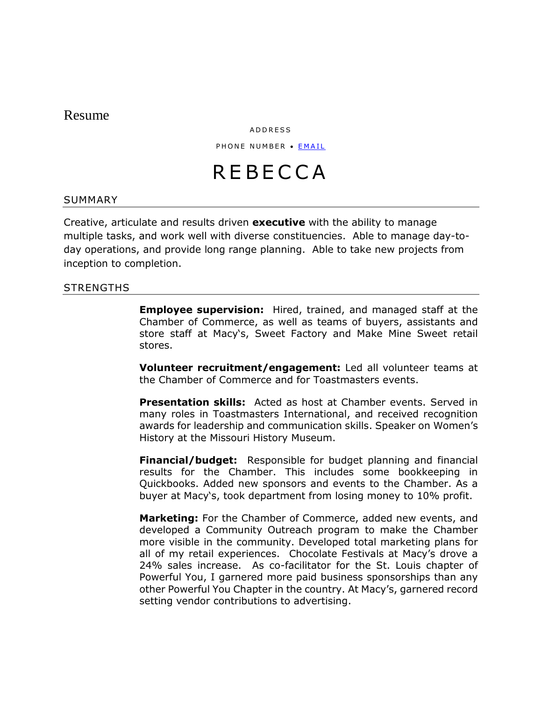#### <span id="page-3-0"></span>Resume

A D D R E S S

PHONE NUMBER . EMAIL

# **REBECCA**

#### SUMMARY

Creative, articulate and results driven **executive** with the ability to manage multiple tasks, and work well with diverse constituencies. Able to manage day-today operations, and provide long range planning. Able to take new projects from inception to completion.

#### **STRENGTHS**

**Employee supervision:** Hired, trained, and managed staff at the Chamber of Commerce, as well as teams of buyers, assistants and store staff at Macy's, Sweet Factory and Make Mine Sweet retail stores.

**Volunteer recruitment/engagement:** Led all volunteer teams at the Chamber of Commerce and for Toastmasters events.

**Presentation skills:** Acted as host at Chamber events. Served in many roles in Toastmasters International, and received recognition awards for leadership and communication skills. Speaker on Women's History at the Missouri History Museum.

**Financial/budget:** Responsible for budget planning and financial results for the Chamber. This includes some bookkeeping in Quickbooks. Added new sponsors and events to the Chamber. As a buyer at Macy's, took department from losing money to 10% profit.

**Marketing:** For the Chamber of Commerce, added new events, and developed a Community Outreach program to make the Chamber more visible in the community. Developed total marketing plans for all of my retail experiences. Chocolate Festivals at Macy's drove a 24% sales increase. As co-facilitator for the St. Louis chapter of Powerful You, I garnered more paid business sponsorships than any other Powerful You Chapter in the country. At Macy's, garnered record setting vendor contributions to advertising.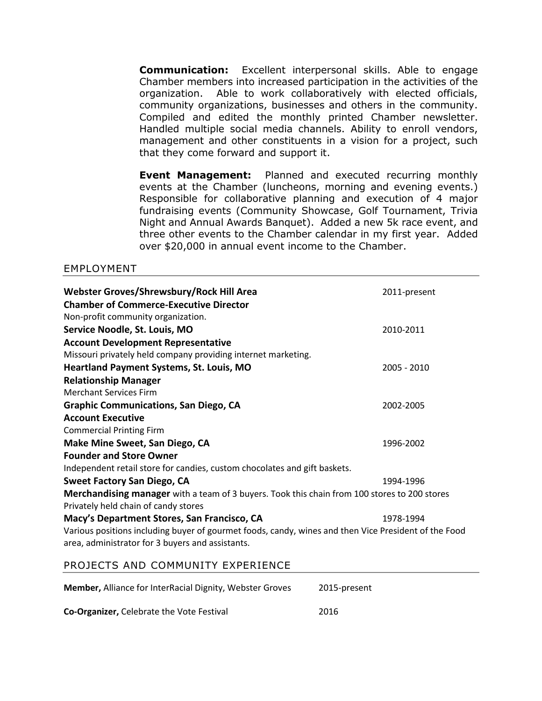**Communication:** Excellent interpersonal skills. Able to engage Chamber members into increased participation in the activities of the organization. Able to work collaboratively with elected officials, community organizations, businesses and others in the community. Compiled and edited the monthly printed Chamber newsletter. Handled multiple social media channels. Ability to enroll vendors, management and other constituents in a vision for a project, such that they come forward and support it.

**Event Management:** Planned and executed recurring monthly events at the Chamber (luncheons, morning and evening events.) Responsible for collaborative planning and execution of 4 major fundraising events (Community Showcase, Golf Tournament, Trivia Night and Annual Awards Banquet). Added a new 5k race event, and three other events to the Chamber calendar in my first year. Added over \$20,000 in annual event income to the Chamber.

#### EMPLOYMENT

| Webster Groves/Shrewsbury/Rock Hill Area<br><b>Chamber of Commerce-Executive Director</b><br>Non-profit community organization.                          | 2011-present |
|----------------------------------------------------------------------------------------------------------------------------------------------------------|--------------|
| Service Noodle, St. Louis, MO                                                                                                                            | 2010-2011    |
| <b>Account Development Representative</b>                                                                                                                |              |
| Missouri privately held company providing internet marketing.                                                                                            |              |
| Heartland Payment Systems, St. Louis, MO                                                                                                                 | 2005 - 2010  |
| <b>Relationship Manager</b>                                                                                                                              |              |
| <b>Merchant Services Firm</b>                                                                                                                            |              |
| <b>Graphic Communications, San Diego, CA</b>                                                                                                             | 2002-2005    |
| <b>Account Executive</b>                                                                                                                                 |              |
| <b>Commercial Printing Firm</b>                                                                                                                          |              |
| Make Mine Sweet, San Diego, CA                                                                                                                           | 1996-2002    |
| <b>Founder and Store Owner</b>                                                                                                                           |              |
| Independent retail store for candies, custom chocolates and gift baskets.                                                                                |              |
| <b>Sweet Factory San Diego, CA</b>                                                                                                                       | 1994-1996    |
| Merchandising manager with a team of 3 buyers. Took this chain from 100 stores to 200 stores<br>Privately held chain of candy stores                     |              |
| Macy's Department Stores, San Francisco, CA                                                                                                              | 1978-1994    |
| Various positions including buyer of gourmet foods, candy, wines and then Vice President of the Food<br>area, administrator for 3 buyers and assistants. |              |

#### PROJECTS AND COMMUNITY EXPERIENCE

| <b>Member, Alliance for InterRacial Dignity, Webster Groves</b> | 2015-present |
|-----------------------------------------------------------------|--------------|
| <b>Co-Organizer, Celebrate the Vote Festival</b>                | 2016         |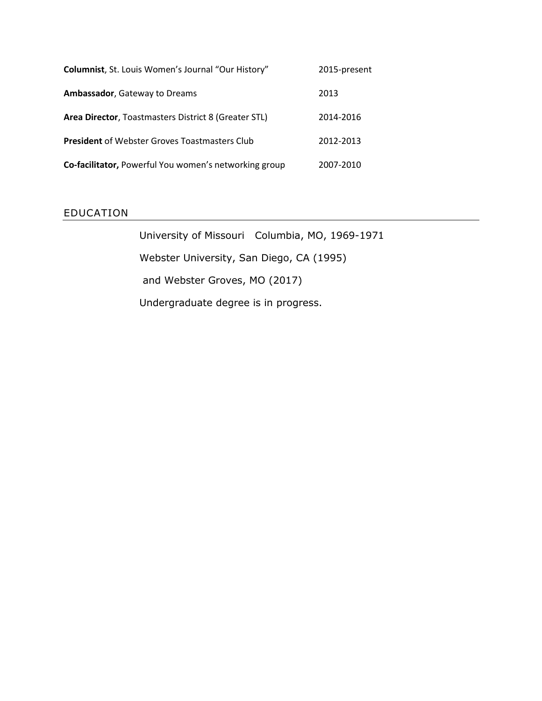| <b>Columnist, St. Louis Women's Journal "Our History"</b> | 2015-present |
|-----------------------------------------------------------|--------------|
| <b>Ambassador, Gateway to Dreams</b>                      | 2013         |
| Area Director, Toastmasters District 8 (Greater STL)      | 2014-2016    |
| <b>President</b> of Webster Groves Toastmasters Club      | 2012-2013    |
| Co-facilitator, Powerful You women's networking group     | 2007-2010    |

#### EDUCATION

University of Missouri Columbia, MO, 1969-1971 Webster University, San Diego, CA (1995) and Webster Groves, MO (2017) Undergraduate degree is in progress.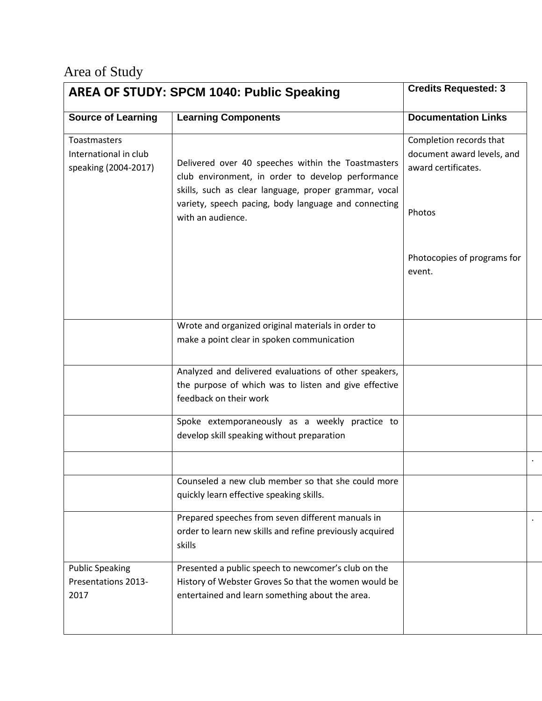## <span id="page-6-0"></span>Area of Study

|                                                               | <b>AREA OF STUDY: SPCM 1040: Public Speaking</b>                                                                                                                                                                         | <b>Credits Requested: 3</b>                                                  |  |
|---------------------------------------------------------------|--------------------------------------------------------------------------------------------------------------------------------------------------------------------------------------------------------------------------|------------------------------------------------------------------------------|--|
| <b>Source of Learning</b>                                     | <b>Learning Components</b>                                                                                                                                                                                               | <b>Documentation Links</b>                                                   |  |
| Toastmasters<br>International in club<br>speaking (2004-2017) | Delivered over 40 speeches within the Toastmasters<br>club environment, in order to develop performance<br>skills, such as clear language, proper grammar, vocal<br>variety, speech pacing, body language and connecting | Completion records that<br>document award levels, and<br>award certificates. |  |
|                                                               | with an audience.                                                                                                                                                                                                        | Photos                                                                       |  |
|                                                               |                                                                                                                                                                                                                          | Photocopies of programs for<br>event.                                        |  |
|                                                               | Wrote and organized original materials in order to<br>make a point clear in spoken communication                                                                                                                         |                                                                              |  |
|                                                               | Analyzed and delivered evaluations of other speakers,<br>the purpose of which was to listen and give effective<br>feedback on their work                                                                                 |                                                                              |  |
|                                                               | Spoke extemporaneously as a weekly practice to<br>develop skill speaking without preparation                                                                                                                             |                                                                              |  |
|                                                               |                                                                                                                                                                                                                          |                                                                              |  |
|                                                               | Counseled a new club member so that she could more<br>quickly learn effective speaking skills.                                                                                                                           |                                                                              |  |
|                                                               | Prepared speeches from seven different manuals in<br>order to learn new skills and refine previously acquired<br>skills                                                                                                  |                                                                              |  |
| <b>Public Speaking</b><br>Presentations 2013-<br>2017         | Presented a public speech to newcomer's club on the<br>History of Webster Groves So that the women would be<br>entertained and learn something about the area.                                                           |                                                                              |  |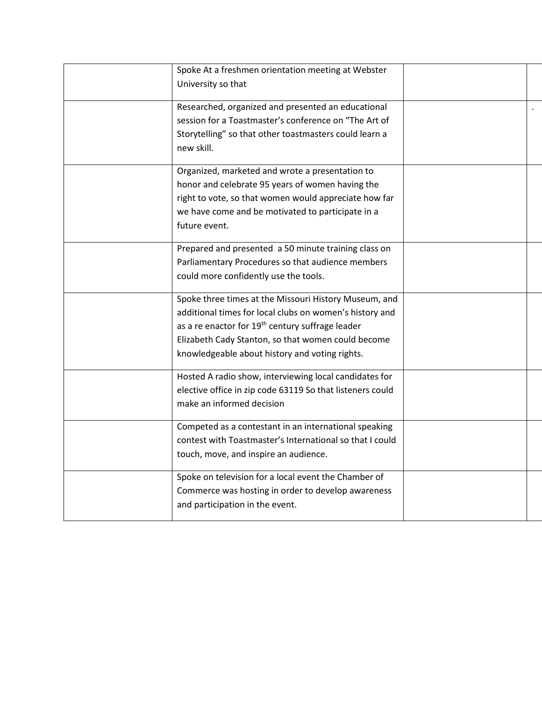| Spoke At a freshmen orientation meeting at Webster<br>University so that                                                                                                                                                                                                                 |  |
|------------------------------------------------------------------------------------------------------------------------------------------------------------------------------------------------------------------------------------------------------------------------------------------|--|
| Researched, organized and presented an educational<br>session for a Toastmaster's conference on "The Art of<br>Storytelling" so that other toastmasters could learn a<br>new skill.                                                                                                      |  |
| Organized, marketed and wrote a presentation to<br>honor and celebrate 95 years of women having the<br>right to vote, so that women would appreciate how far<br>we have come and be motivated to participate in a<br>future event.                                                       |  |
| Prepared and presented a 50 minute training class on<br>Parliamentary Procedures so that audience members<br>could more confidently use the tools.                                                                                                                                       |  |
| Spoke three times at the Missouri History Museum, and<br>additional times for local clubs on women's history and<br>as a re enactor for 19 <sup>th</sup> century suffrage leader<br>Elizabeth Cady Stanton, so that women could become<br>knowledgeable about history and voting rights. |  |
| Hosted A radio show, interviewing local candidates for<br>elective office in zip code 63119 So that listeners could<br>make an informed decision                                                                                                                                         |  |
| Competed as a contestant in an international speaking<br>contest with Toastmaster's International so that I could<br>touch, move, and inspire an audience.                                                                                                                               |  |
| Spoke on television for a local event the Chamber of<br>Commerce was hosting in order to develop awareness<br>and participation in the event.                                                                                                                                            |  |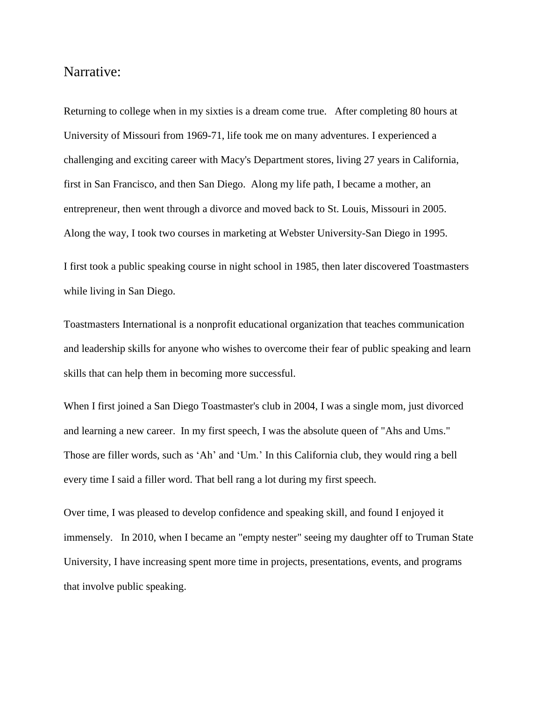### <span id="page-8-0"></span>Narrative:

Returning to college when in my sixties is a dream come true. After completing 80 hours at University of Missouri from 1969-71, life took me on many adventures. I experienced a challenging and exciting career with Macy's Department stores, living 27 years in California, first in San Francisco, and then San Diego. Along my life path, I became a mother, an entrepreneur, then went through a divorce and moved back to St. Louis, Missouri in 2005. Along the way, I took two courses in marketing at Webster University-San Diego in 1995.

I first took a public speaking course in night school in 1985, then later discovered Toastmasters while living in San Diego.

Toastmasters International is a nonprofit educational organization that teaches communication and leadership skills for anyone who wishes to overcome their fear of public speaking and learn skills that can help them in becoming more successful.

When I first joined a San Diego Toastmaster's club in 2004, I was a single mom, just divorced and learning a new career. In my first speech, I was the absolute queen of "Ahs and Ums." Those are filler words, such as 'Ah' and 'Um.' In this California club, they would ring a bell every time I said a filler word. That bell rang a lot during my first speech.

Over time, I was pleased to develop confidence and speaking skill, and found I enjoyed it immensely. In 2010, when I became an "empty nester" seeing my daughter off to Truman State University, I have increasing spent more time in projects, presentations, events, and programs that involve public speaking.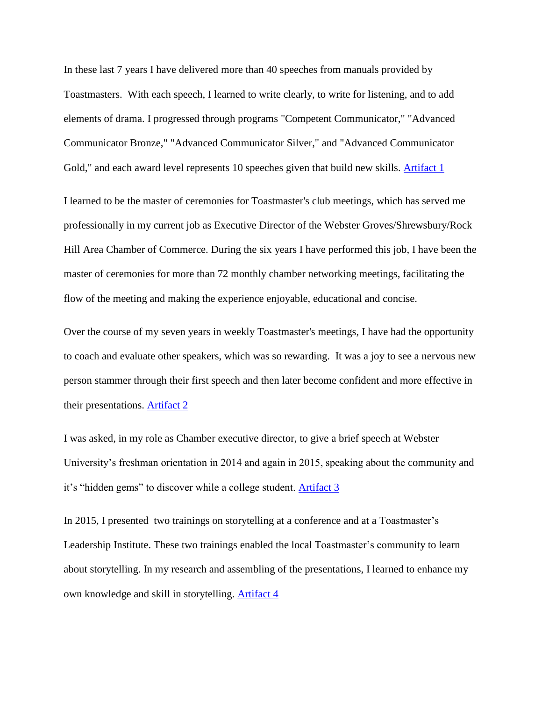In these last 7 years I have delivered more than 40 speeches from manuals provided by Toastmasters. With each speech, I learned to write clearly, to write for listening, and to add elements of drama. I progressed through programs "Competent Communicator," "Advanced Communicator Bronze," "Advanced Communicator Silver," and "Advanced Communicator Gold," and each award level represents 10 speeches given that build new skills. [Artifact 1](file:///D:/Webster/EDUC%201000/Spring%202,%202017/Rebecca%20Now/PLA_Now/Artifacts/Artifact%201%20Completion%20Records%20and%20Award%20Certificates%20NOW.pdf)

I learned to be the master of ceremonies for Toastmaster's club meetings, which has served me professionally in my current job as Executive Director of the Webster Groves/Shrewsbury/Rock Hill Area Chamber of Commerce. During the six years I have performed this job, I have been the master of ceremonies for more than 72 monthly chamber networking meetings, facilitating the flow of the meeting and making the experience enjoyable, educational and concise.

Over the course of my seven years in weekly Toastmaster's meetings, I have had the opportunity to coach and evaluate other speakers, which was so rewarding. It was a joy to see a nervous new person stammer through their first speech and then later become confident and more effective in their presentations. [Artifact 2](file:///D:/Webster/EDUC%201000/Spring%202,%202017/Rebecca%20Now/PLA_Now/Artifacts/Artifact%202%20Completion%20Record%20%20Listening%20Evaluating%20Mentoring.pdf)

I was asked, in my role as Chamber executive director, to give a brief speech at Webster University's freshman orientation in 2014 and again in 2015, speaking about the community and it's "hidden gems" to discover while a college student. [Artifact 3](file:///D:/Webster/EDUC%201000/Spring%202,%202017/Rebecca%20Now/PLA_Now/Artifacts/Artifact%203%20Rebecca%20Now%20at%20Webster%20U.jpg)

In 2015, I presented two trainings on storytelling at a conference and at a Toastmaster's Leadership Institute. These two trainings enabled the local Toastmaster's community to learn about storytelling. In my research and assembling of the presentations, I learned to enhance my own knowledge and skill in storytelling. [Artifact 4](file:///D:/Webster/EDUC%201000/Spring%202,%202017/Rebecca%20Now/PLA_Now/Artifacts/Artifact%204%20Storytelling%20programs%20verification.pdf)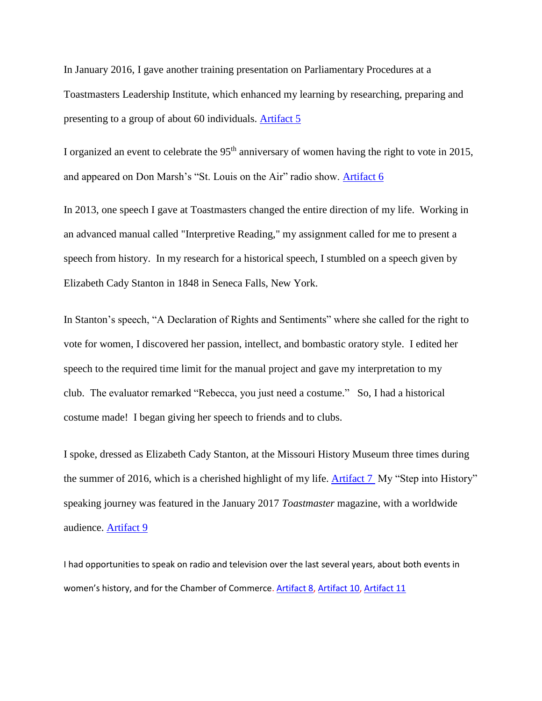In January 2016, I gave another training presentation on Parliamentary Procedures at a Toastmasters Leadership Institute, which enhanced my learning by researching, preparing and presenting to a group of about 60 individuals. [Artifact 5](file:///D:/Webster/EDUC%201000/Spring%202,%202017/Rebecca%20Now/PLA_Now/Artifacts/Artifact%205%20Parliamentary%20Procedure%20class.pdf)

I organized an event to celebrate the  $95<sup>th</sup>$  anniversary of women having the right to vote in 2015, and appeared on Don Marsh's "St. Louis on the Air" radio show. [Artifact 6](file:///D:/Webster/EDUC%201000/Spring%202,%202017/Rebecca%20Now/PLA_Now/Artifacts/Artifact%206%20St.%20Louis%20Public%20Radio%20appearance%20RebeccaNow_YvetteJoyLiebesen.jpg)

In 2013, one speech I gave at Toastmasters changed the entire direction of my life. Working in an advanced manual called "Interpretive Reading," my assignment called for me to present a speech from history. In my research for a historical speech, I stumbled on a speech given by Elizabeth Cady Stanton in 1848 in Seneca Falls, New York.

In Stanton's speech, "A Declaration of Rights and Sentiments" where she called for the right to vote for women, I discovered her passion, intellect, and bombastic oratory style. I edited her speech to the required time limit for the manual project and gave my interpretation to my club. The evaluator remarked "Rebecca, you just need a costume." So, I had a historical costume made! I began giving her speech to friends and to clubs.

I spoke, dressed as Elizabeth Cady Stanton, at the Missouri History Museum three times during the summer of 2016, which is a cherished highlight of my life. [Artifact 7](file:///D:/Webster/EDUC%201000/Spring%202,%202017/Rebecca%20Now/PLA_Now/Artifacts/Artifact%207%20RN%20at%20MOHIST%20with%20podium.jpg) My "Step into History" speaking journey was featured in the January 2017 *Toastmaster* magazine, with a worldwide audience. [Artifact 9](file:///D:/Webster/EDUC%201000/Spring%202,%202017/Rebecca%20Now/PLA_Now/Artifacts/Artifact%209%20Toastmaster%20Magazine%20Article%20Jan%202017.pdf)

I had opportunities to speak on radio and television over the last several years, about both events in women's history, and for the Chamber of Commerce[. Artifact 8,](file:///D:/Webster/EDUC%201000/Spring%202,%202017/Rebecca%20Now/PLA_Now/Artifacts/Artifact%208%20RN%20%20at%202016%20Celebrate%20the%20Vote%20Festival.jpg) [Artifact 10,](https://soundcloud.com/kwrh-radio/league-of-women-voters-ballot-issues-review) [Artifact 11](https://www.youtube.com/watch?v=foWDEQ57B8g)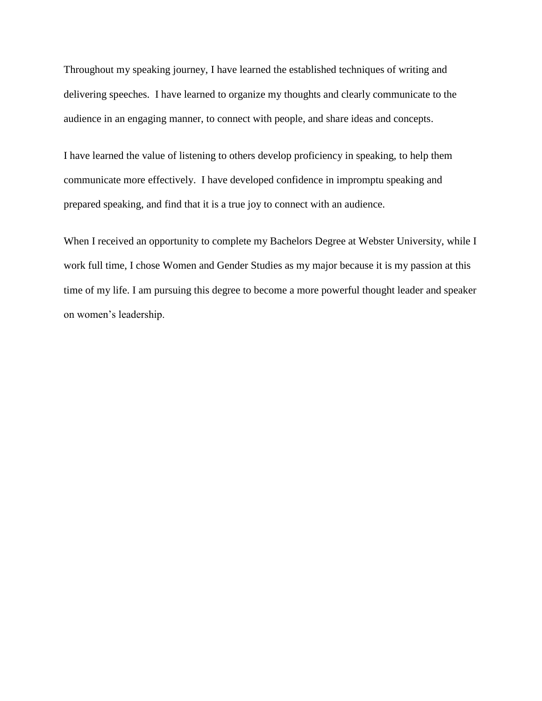Throughout my speaking journey, I have learned the established techniques of writing and delivering speeches. I have learned to organize my thoughts and clearly communicate to the audience in an engaging manner, to connect with people, and share ideas and concepts.

I have learned the value of listening to others develop proficiency in speaking, to help them communicate more effectively. I have developed confidence in impromptu speaking and prepared speaking, and find that it is a true joy to connect with an audience.

When I received an opportunity to complete my Bachelors Degree at Webster University, while I work full time, I chose Women and Gender Studies as my major because it is my passion at this time of my life. I am pursuing this degree to become a more powerful thought leader and speaker on women's leadership.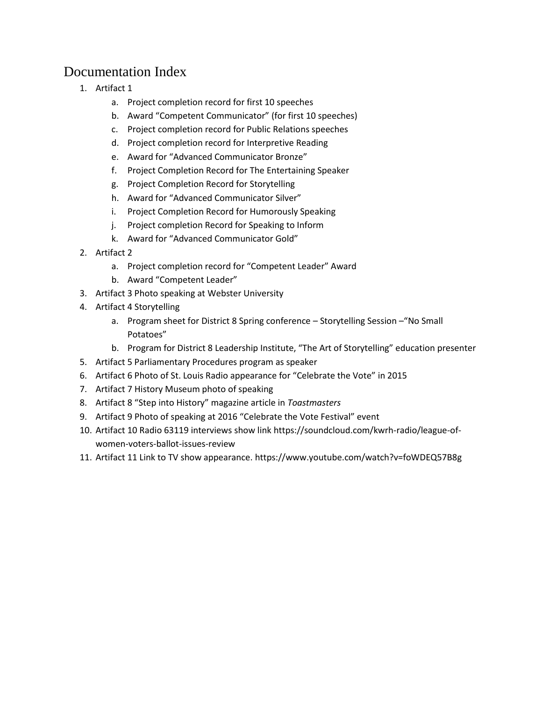## <span id="page-12-0"></span>Documentation Index

- 1. Artifact 1
	- a. Project completion record for first 10 speeches
	- b. Award "Competent Communicator" (for first 10 speeches)
	- c. Project completion record for Public Relations speeches
	- d. Project completion record for Interpretive Reading
	- e. Award for "Advanced Communicator Bronze"
	- f. Project Completion Record for The Entertaining Speaker
	- g. Project Completion Record for Storytelling
	- h. Award for "Advanced Communicator Silver"
	- i. Project Completion Record for Humorously Speaking
	- j. Project completion Record for Speaking to Inform
	- k. Award for "Advanced Communicator Gold"
- 2. Artifact 2
	- a. Project completion record for "Competent Leader" Award
	- b. Award "Competent Leader"
- 3. Artifact 3 Photo speaking at Webster University
- 4. Artifact 4 Storytelling
	- a. Program sheet for District 8 Spring conference Storytelling Session –"No Small Potatoes"
	- b. Program for District 8 Leadership Institute, "The Art of Storytelling" education presenter
- 5. Artifact 5 Parliamentary Procedures program as speaker
- 6. Artifact 6 Photo of St. Louis Radio appearance for "Celebrate the Vote" in 2015
- 7. Artifact 7 History Museum photo of speaking
- 8. Artifact 8 "Step into History" magazine article in *Toastmasters*
- 9. Artifact 9 Photo of speaking at 2016 "Celebrate the Vote Festival" event
- 10. Artifact 10 Radio 63119 interviews show link https://soundcloud.com/kwrh-radio/league-ofwomen-voters-ballot-issues-review
- 11. Artifact 11 Link to TV show appearance. https://www.youtube.com/watch?v=foWDEQ57B8g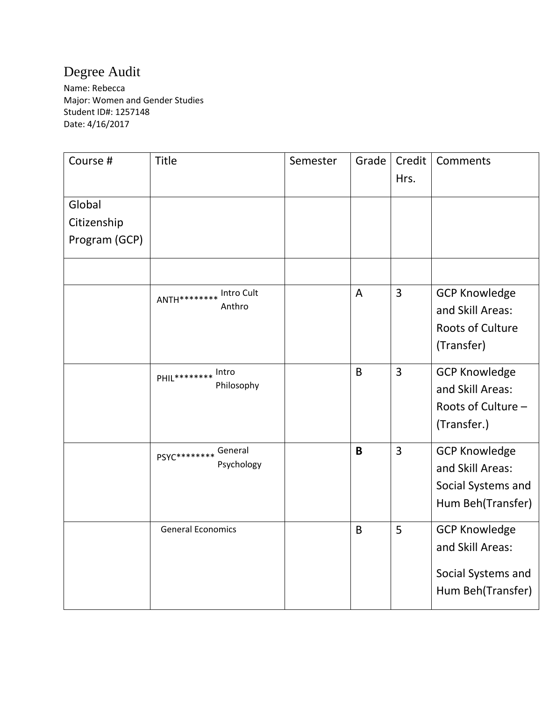## <span id="page-13-0"></span>Degree Audit

Name: Rebecca Major: Women and Gender Studies Student ID#: 1257148 Date: 4/16/2017

| Course #                               | <b>Title</b>                        | Semester | Grade        | Credit<br>Hrs. | Comments                                                                            |
|----------------------------------------|-------------------------------------|----------|--------------|----------------|-------------------------------------------------------------------------------------|
| Global<br>Citizenship<br>Program (GCP) |                                     |          |              |                |                                                                                     |
|                                        | ANTH ******** Intro Cult            |          | A            | 3              | <b>GCP Knowledge</b>                                                                |
|                                        | Anthro                              |          |              |                | and Skill Areas:<br><b>Roots of Culture</b><br>(Transfer)                           |
|                                        | PHIL********* Intro<br>Philosophy   |          | $\mathsf{B}$ | $\overline{3}$ | <b>GCP Knowledge</b><br>and Skill Areas:<br>Roots of Culture -<br>(Transfer.)       |
|                                        | PSYC********* General<br>Psychology |          | B            | $\overline{3}$ | <b>GCP Knowledge</b><br>and Skill Areas:<br>Social Systems and<br>Hum Beh(Transfer) |
|                                        | <b>General Economics</b>            |          | B            | 5              | <b>GCP Knowledge</b><br>and Skill Areas:<br>Social Systems and<br>Hum Beh(Transfer) |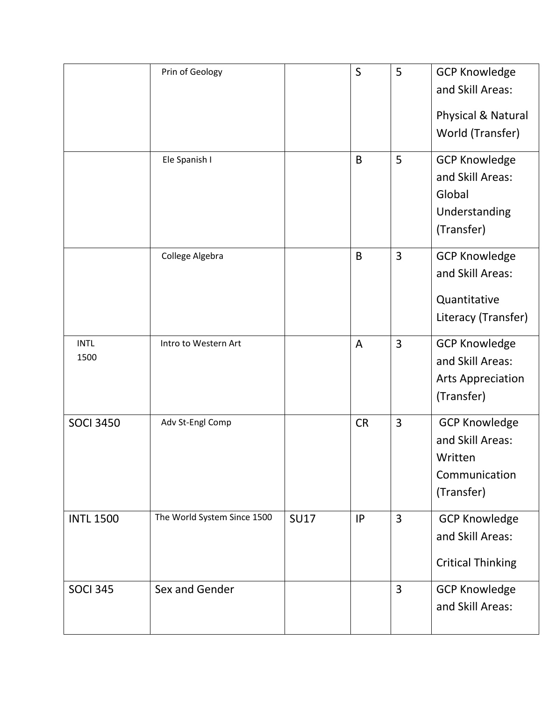|                     | Prin of Geology             |             | S         | 5              | <b>GCP Knowledge</b><br>and Skill Areas:<br>Physical & Natural<br>World (Transfer) |
|---------------------|-----------------------------|-------------|-----------|----------------|------------------------------------------------------------------------------------|
|                     | Ele Spanish I               |             | B         | 5              | <b>GCP Knowledge</b><br>and Skill Areas:<br>Global<br>Understanding<br>(Transfer)  |
|                     | College Algebra             |             | B         | $\overline{3}$ | <b>GCP Knowledge</b><br>and Skill Areas:<br>Quantitative<br>Literacy (Transfer)    |
| <b>INTL</b><br>1500 | Intro to Western Art        |             | A         | 3              | <b>GCP Knowledge</b><br>and Skill Areas:<br><b>Arts Appreciation</b><br>(Transfer) |
| <b>SOCI 3450</b>    | Adv St-Engl Comp            |             | <b>CR</b> | 3              | <b>GCP Knowledge</b><br>and Skill Areas:<br>Written<br>Communication<br>(Transfer) |
| <b>INTL 1500</b>    | The World System Since 1500 | <b>SU17</b> | IP        | $\overline{3}$ | <b>GCP Knowledge</b><br>and Skill Areas:<br><b>Critical Thinking</b>               |
| <b>SOCI 345</b>     | Sex and Gender              |             |           | $\overline{3}$ | <b>GCP Knowledge</b><br>and Skill Areas:                                           |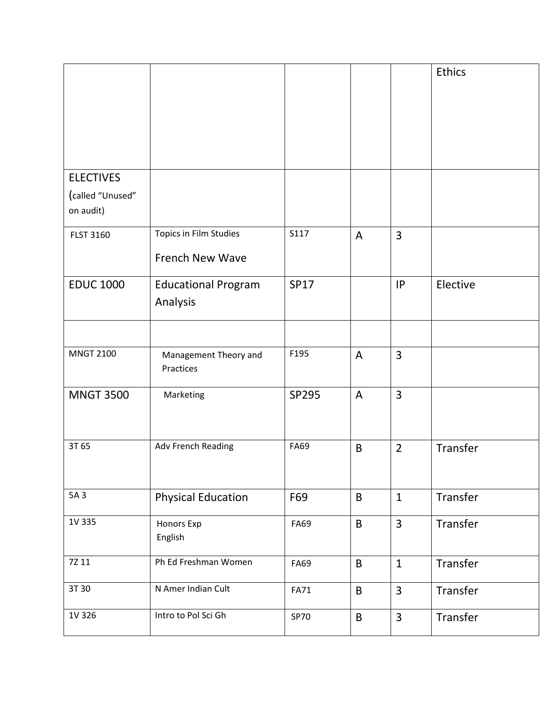|                               |                                        |             |                |                | Ethics   |
|-------------------------------|----------------------------------------|-------------|----------------|----------------|----------|
| <b>ELECTIVES</b>              |                                        |             |                |                |          |
| (called "Unused"<br>on audit) |                                        |             |                |                |          |
| <b>FLST 3160</b>              | Topics in Film Studies                 | S117        | A              | $\overline{3}$ |          |
|                               | <b>French New Wave</b>                 |             |                |                |          |
| <b>EDUC 1000</b>              | <b>Educational Program</b><br>Analysis | <b>SP17</b> |                | IP             | Elective |
|                               |                                        |             |                |                |          |
| <b>MNGT 2100</b>              | Management Theory and<br>Practices     | F195        | $\overline{A}$ | $\overline{3}$ |          |
| <b>MNGT 3500</b>              | Marketing                              | SP295       | $\overline{A}$ | $\overline{3}$ |          |
| 3T 65                         | Adv French Reading                     | <b>FA69</b> | $\mathsf B$    | $\overline{2}$ | Transfer |
| 5A 3                          | <b>Physical Education</b>              | F69         | B              | $\mathbf{1}$   | Transfer |
| 1V 335                        | Honors Exp<br>English                  | FA69        | $\sf B$        | $\overline{3}$ | Transfer |
| 7Z 11                         | Ph Ed Freshman Women                   | FA69        | $\mathsf B$    | $\mathbf{1}$   | Transfer |
| 3T 30                         | N Amer Indian Cult                     | <b>FA71</b> | $\sf B$        | $\overline{3}$ | Transfer |
| 1V 326                        | Intro to Pol Sci Gh                    | <b>SP70</b> | $\sf B$        | $\overline{3}$ | Transfer |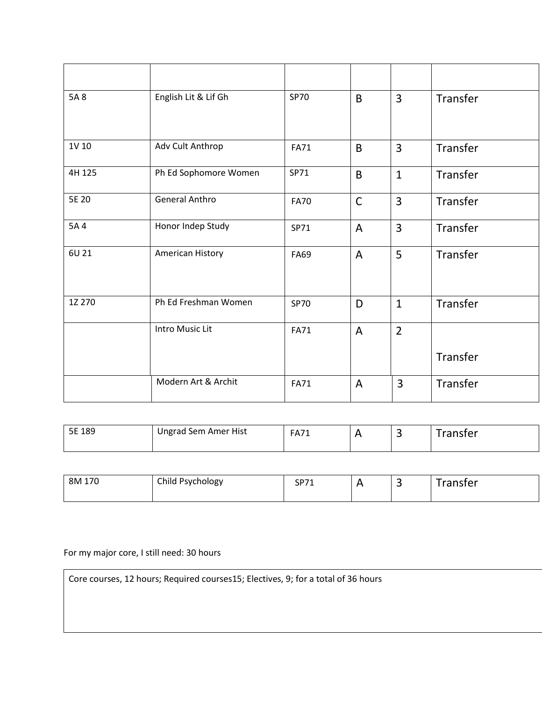| 5A 8   | English Lit & Lif Gh  | <b>SP70</b> | B.             | $\overline{3}$ | Transfer |
|--------|-----------------------|-------------|----------------|----------------|----------|
| 1V 10  | Adv Cult Anthrop      | <b>FA71</b> | B              | $\overline{3}$ | Transfer |
| 4H 125 | Ph Ed Sophomore Women | SP71        | B              | $\mathbf{1}$   | Transfer |
| 5E 20  | <b>General Anthro</b> | <b>FA70</b> | $\mathsf{C}$   | $\overline{3}$ | Transfer |
| 5A 4   | Honor Indep Study     | SP71        | $\overline{A}$ | $\overline{3}$ | Transfer |
| 6U 21  | American History      | <b>FA69</b> | $\overline{A}$ | 5              | Transfer |
| 1Z 270 | Ph Ed Freshman Women  | <b>SP70</b> | D              | $\mathbf{1}$   | Transfer |
|        | Intro Music Lit       | <b>FA71</b> | $\overline{A}$ | $\overline{2}$ |          |
|        |                       |             |                |                | Transfer |
|        | Modern Art & Archit   | <b>FA71</b> | $\overline{A}$ | $\overline{3}$ | Transfer |

| 5E 189<br><b>ـاب</b> | ' Sem Amer Hist<br>naran : | FAY1 |  | ister |
|----------------------|----------------------------|------|--|-------|
|                      |                            |      |  |       |

| 170<br>8M | Child Psychology | CDZ4<br>ັ<br>. . |  | ٮ | <sup>-</sup> ransfer |
|-----------|------------------|------------------|--|---|----------------------|
|-----------|------------------|------------------|--|---|----------------------|

For my major core, I still need: 30 hours

Core courses, 12 hours; Required courses15; Electives, 9; for a total of 36 hours